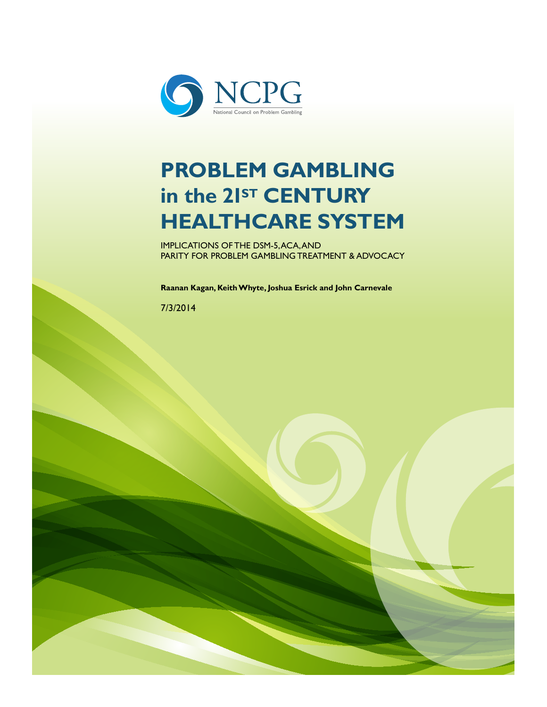

# **PROBLEM GAMBLING**  in the 2<sup>Ist</sup> CENTURY **HEALTHCARE SYSTEM**

IMPLICATIONS OF THE DSM-5, ACA, AND PARITY FOR PROBLEM GAMBLING TREATMENT & ADVOCACY

**Raanan Kagan, Keith Whyte, Joshua Esrick and John Carnevale**

[Type the abstract of the document here. The abstract is typically a short summary of the contents of the document. Type the

abstract of the document here. The abstract is typically a short summary of the contents of the document.]

7/3/2014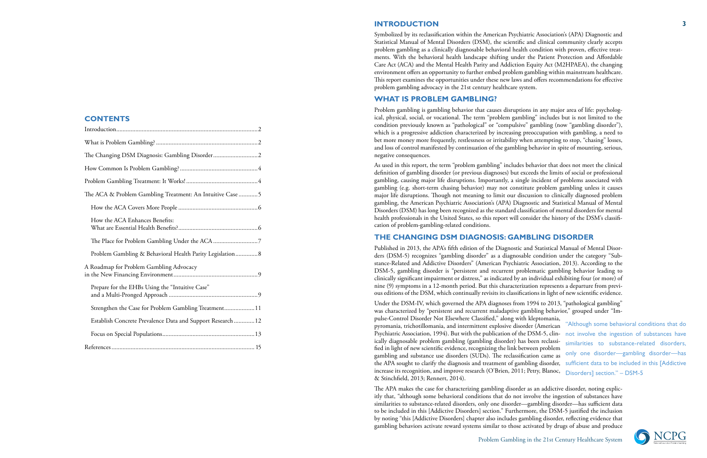Problem Gambling in the 21st Century Healthcare System

# **CONTENTS**

| The Changing DSM Diagnosis: Gambling Disorder2              |
|-------------------------------------------------------------|
|                                                             |
|                                                             |
| The ACA & Problem Gambling Treatment: An Intuitive Case  5  |
|                                                             |
| How the ACA Enhances Benefits:                              |
|                                                             |
| Problem Gambling & Behavioral Health Parity Legislation 8   |
| A Roadmap for Problem Gambling Advocacy                     |
| Prepare for the EHBs Using the "Intuitive Case"             |
| Strengthen the Case for Problem Gambling Treatment 11       |
| Establish Concrete Prevalence Data and Support Research  12 |
|                                                             |
|                                                             |

#### **INTRODUCTION**

Symbolized by its reclassification within the American Psychiatric Association's (APA) Diagnostic and Statistical Manual of Mental Disorders (DSM), the scientific and clinical community clearly accepts problem gambling as a clinically diagnosable behavioral health condition with proven, effective treatments. With the behavioral health landscape shifting under the Patient Protection and Affordable Care Act (ACA) and the Mental Health Parity and Addiction Equity Act (M2HPAEA), the changing environment offers an opportunity to further embed problem gambling within mainstream healthcare. This report examines the opportunities under these new laws and offers recommendations for effective problem gambling advocacy in the 21st century healthcare system.

# **WHAT IS PROBLEM GAMBLING?**

Problem gambling is gambling behavior that causes disruptions in any major area of life: psychological, physical, social, or vocational. The term "problem gambling" includes but is not limited to the condition previously known as "pathological" or "compulsive" gambling (now "gambling disorder"), which is a progressive addiction characterized by increasing preoccupation with gambling, a need to bet more money more frequently, restlessness or irritability when attempting to stop, "chasing" losses, and loss of control manifested by continuation of the gambling behavior in spite of mounting, serious, negative consequences.

As used in this report, the term "problem gambling" includes behavior that does not meet the clinical definition of gambling disorder (or previous diagnoses) but exceeds the limits of social or professional gambling, causing major life disruptions. Importantly, a single incident of problems associated with gambling (e.g. short-term chasing behavior) may not constitute problem gambling unless it causes major life disruptions. Though not meaning to limit our discussion to clinically diagnosed problem gambling, the American Psychiatric Association's (APA) Diagnostic and Statistical Manual of Mental Disorders (DSM) has long been recognized as the standard classification of mental disorders for mental health professionals in the United States, so this report will consider the history of the DSM's classification of problem-gambling-related conditions.

### **THE CHANGING DSM DIAGNOSIS: GAMBLING DISORDER**

Published in 2013, the APA's fifth edition of the Diagnostic and Statistical Manual of Mental Disorders (DSM-5) recognizes "gambling disorder" as a diagnosable condition under the category "Substance-Related and Addictive Disorders" (American Psychiatric Association, 2013). According to the DSM-5, gambling disorder is "persistent and recurrent problematic gambling behavior leading to clinically significant impairment or distress," as indicated by an individual exhibiting four (or more) of nine (9) symptoms in a 12-month period. But this characterization represents a departure from previous editions of the DSM, which continually revisits its classifications in light of new scientific evidence.

Under the DSM-IV, which governed the APA diagnoses from 1994 to 2013, "pathological gambling" was characterized by "persistent and recurrent maladaptive gambling behavior," grouped under "Impulse-Control Disorder Not Elsewhere Classified," along with kleptomania, pyromania, trichotillomania, and intermittent explosive disorder (American Psychiatric Association, 1994). But with the publication of the DSM-5, clin-not involve the ingestion of substances have ically diagnosable problem gambling (gambling disorder) has been reclassified in light of new scientific evidence, recognizing the link between problem gambling and substance use disorders (SUDs). The reclassification came as only one disorder—gambling disorder—has the APA sought to clarify the diagnosis and treatment of gambling disorder, sufficient data to be included in this [Addictive increase its recognition, and improve research (O'Brien, 2011; Petry, Blanoc, Disorders] section." – DSM-5& Stinchfield, 2013; Rennert, 2014). "Although some behavioral conditions that do similarities to substance-related disorders,

The APA makes the case for characterizing gambling disorder as an addictive disorder, noting explicitly that, "although some behavioral conditions that do not involve the ingestion of substances have similarities to substance-related disorders, only one disorder—gambling disorder—has sufficient data to be included in this [Addictive Disorders] section." Furthermore, the DSM-5 justified the inclusion by noting "this [Addictive Disorders] chapter also includes gambling disorder, reflecting evidence that gambling behaviors activate reward systems similar to those activated by drugs of abuse and produce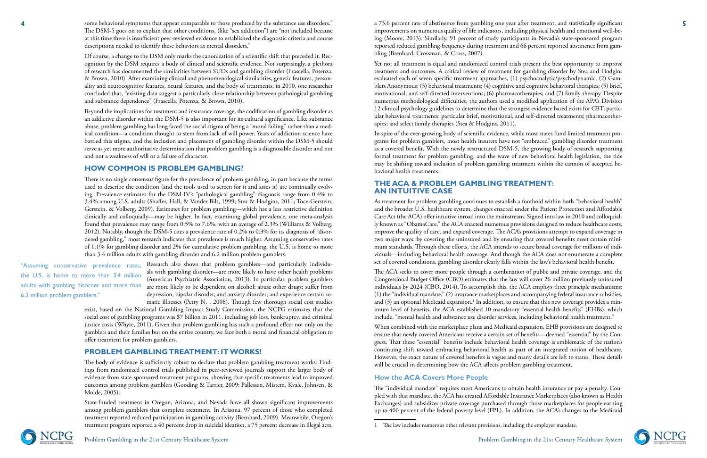Problem Gambling in the 21st Century Healthcare System



**4** some behavioral symptoms that appear comparable to those produced by the substance use disorders." and a 73.6 percent rate of abstinence from gambling one year after treatment, and statistically significant **5** some behavioral symptoms that appear comparable to those produced by the substance use disorders." The DSM-5 goes on to explain that other conditions, (like "sex addiction") are "not included because at this time there is insufficient peer-reviewed evidence to established the diagnostic criteria and course descriptions needed to identify these behaviors as mental disorders."

Of course, a change to the DSM only marks the canonization of a scientific shift that preceded it. Recognition by the DSM requires a body of clinical and scientific evidence. Not surprisingly, a plethora of research has documented the similarities between SUDs and gambling disorder (Frascella, Potenza, & Brown, 2010). After examining clinical and phenomenological similarities, genetic features, personality and neurocognitive features, neural features, and the body of treatments, in 2010, one researcher concluded that, "existing data suggest a particularly close relationship between pathological gambling and substance dependence" (Frascella, Potenza, & Brown, 2010).

Beyond the implications for treatment and insurance coverage, the codification of gambling disorder as an addictive disorder within the DSM-5 is also important for its cultural significance. Like substance abuse, problem gambling has long faced the social stigma of being a "moral failing" rather than a medical condition—a condition thought to stem from lack of will power. Years of addiction science have battled this stigma, and the inclusion and placement of gambling disorder within the DSM-5 should serve as yet more authoritative determination that problem gambling is a diagnosable disorder and not and not a weakness of will or a failure of character.

"Assuming conservative prevalence rates, Research-also-shows-that-problem-gamblers—and-particularly-individuals with gambling disorder—are more likely to have other health problems (American Psychiatric Association, 2013). In particular, problem gamblers adults with gambling disorder and more than are more likely to be dependent on alcohol; abuse other drugs; suffer from depression, bipolar disorder, and anxiety disorder; and experience certain somatic illnesses (Petry N. , 2008). Though few thorough social cost studies

### **HOW COMMON IS PROBLEM GAMBLING?**

There is no single consensus figure for the prevalence of problem gambling, in part because the terms used to describe the condition (and the tools used to screen for it and asses it) are continually evolving. Prevalence estimates for the DSM-IV's "pathological gambling" diagnosis range from 0.4% to 3.4% among U.S. adults (Shaffer, Hall, & Vander Bilt, 1999; Stea & Hodgins, 2011; Toce-Gerstein, Gerstein, & Volberg, 2009). Estimates for problem gambling—which has a less restrictive definition clinically and colloquially—may be higher. In fact, examining global prevalence, one meta-analysis found that prevalence may range from 0.5% to 7.6%, with an average of 2.3% (Williams & Volberg, 2012). Notably, though the DSM-5 cites a prevalence rate of 0.2% to 0.3% for its diagnosis of "disordered gambling," most research indicates that prevalence is much higher. Assuming conservative rates of 1.1% for gambling disorder and 2% for cumulative problem gambling, the U.S. is home to more than 3.4 million adults with gambling disorder and 6.2 million problem gamblers.

exist, based on the National Gambling Impact Study Commission, the NCPG estimates that the social cost of gambling programs was \$7 billion in 2011, including job loss, bankruptcy, and criminal justice costs (Whyte, 2011). Given that problem gambling has such a profound effect not only on the gamblers and their families but on the entire country, we face both a moral and financial obligation to offer treatment for problem gamblers.

#### **PROBLEM GAMBLING TREATMENT: IT WORKS!**

The body of evidence is sufficiently robust to declare that problem gambling treatment works. Findings from randomized control trials published in peer-reviewed journals support the larger body of evidence from state-sponsored treatment programs, showing that specific treatments lead to improved outcomes among problem gamblers (Gooding & Tarrier, 2009; Pallessen, Mistem, Kvale, Johnsen, & Molde, 2005).

State-funded treatment in Oregon, Arizona, and Nevada have all shown significant improvements among problem gamblers that complete treatment. In Arizona, 97 percent of those who completed treatment reported reduced participation in gambling activity (Bernhard, 2009). Meanwhile, Oregon's treatment program reported a 40 percent drop in suicidal ideation, a 75 percent decrease in illegal acts,



the U.S. is home to more than 3.4 million 6.2 million problem gamblers."

improvements on numerous quality of life indicators, including physical health and emotional well-being (Moore, 2013). Similarly, 91 percent of study participants in Nevada's state-sponsored program reported reduced gambling frequency during treatment and 66 percent reported abstinence from gambling (Brenhard, Crossman, & Cross, 2007).

Yet not all treatment is equal and randomized control trials present the best opportunity to improve treatment and outcomes. A critical review of treatment for gambling disorder by Stea and Hodgins evaluated each of seven specific treatment approaches, (1) psychoanalytic/psychodynamic; (2) Gamblers Anonymous; (3) behavioral treatments; (4) cognitive and cognitive behavioral therapies; (5) brief, motivational, and self-directed interventions; (6) pharmacotherapies; and (7) family therapy. Despite numerous methodological difficulties, the authors used a modified application of the APA's Division 12 clinical psychology guidelines to determine that the strongest evidence based exists for CBT; particular behavioral treatments; particular brief, motivational, and self-directed treatments; pharmacotherapies; and select family therapies (Stea & Hodgins, 2011).

In spite of the ever-growing body of scientific evidence, while most states fund limited treatment programs for problem gamblers, most health insurers have not "embraced" gambling disorder treatment as a covered benefit. With the newly restructured DSM-5, the growing body of research supporting formal treatment for problem gambling, and the wave of new behavioral health legislation, the tide may be shifting toward inclusion of problem gambling treatment within the cannon of accepted behavioral health treatments.

#### **THE ACA & PROBLEM GAMBLING TREATMENT: AN INTUITIVE CASE**

As treatment for problem gambling continues to establish a foothold within both "behavioral health" and the broader U.S. healthcare system, changes enacted under the Patient Protection and Affordable Care Act (the ACA) offer intuitive inroad into the mainstream. Signed into law in 2010 and colloquially known as "ObamaCare," the ACA enacted numerous provisions designed to reduce healthcare costs, improve the quality of care, and expand coverage. The ACA's provisions attempt to expand coverage in two major ways: by covering the uninsured and by ensuring that covered benefits meet certain minimum standards. Through these efforts, the ACA intends to secure broad coverage for millions of individuals—including behavioral health coverage. And though the ACA does not enumerate a complete set of covered conditions, gambling disorder clearly falls within the law's behavioral health benefit.

The ACA seeks to cover more people through a combination of public and private coverage, and the Congressional Budget Office (CBO) estimates that the law will cover 26 million previously uninsured individuals by 2024 (CBO, 2014). To accomplish this, the ACA employs three principle mechanisms: (1) the "individual mandate," (2) insurance marketplaces and accompanying federal insurance subsidies, and (3) an optional Medicaid expansion. $^{\rm 1}$  In addition, to ensure that this new coverage provides a minimum level of benefits, the ACA established 10 mandatory "essential health benefits" (EHBs), which include, "mental health and substance use disorder services, including behavioral health treatment."

When combined with the marketplace plans and Medicaid expansion, EHB provisions are designed to ensure that newly covered Americans receive a certain set of benefits—deemed "essential" by the Congress. That these "essential" benefits include behavioral health coverage is emblematic of the nation's continuing shift toward embracing behavioral health as part of an integrated notion of healthcare. However, the exact nature of covered benefits is vague and many details are left to states. These details will be crucial in determining how the ACA affects problem gambling treatment.

#### **How the ACA Covers More People**

The "individual mandate" requires most Americans to obtain health insurance or pay a penalty. Coupled with that mandate, the ACA has created Affordable Insurance Marketplaces (also known as Health Exchanges) and subsidizes private coverage purchased through those marketplaces for people earning up to 400 percent of the federal poverty level (FPL). In addition, the ACA's changes to the Medicaid

<sup>1</sup> The law includes numerous other relevant provisions, including the employer mandate.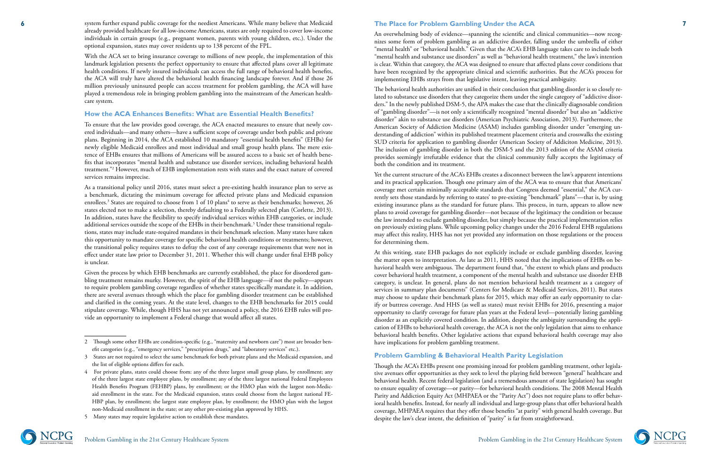#### Problem Gambling in the 21st Century Healthcare System



system further expand public coverage for the neediest Americans. While many believe that Medicaid already provided healthcare for all low-income Americans, states are only required to cover low-income individuals in certain groups (e.g., pregnant women, parents with young children, etc.). Under the optional expansion, states may cover residents up to 138 percent of the FPL.

With the ACA set to bring insurance coverage to millions of new people, the implementation of this landmark legislation presents the perfect opportunity to ensure that affected plans cover all legitimate health conditions. If newly insured individuals can access the full range of behavioral health benefits, the ACA will truly have altered the behavioral health financing landscape forever. And if those 26 million previously uninsured people can access treatment for problem gambling, the ACA will have played a tremendous role in bringing problem gambling into the mainstream of the American health care system.

#### **How the ACA Enhances Benefits: What are Essential Health Benefits?**

To ensure that the law provides good coverage, the ACA enacted measures to ensure that newly cov ered individuals—and many others—have a sufficient scope of coverage under both public and private plans. Beginning in 2014, the ACA established 10 mandatory "essential health benefits" (EHBs) for newly eligible Medicaid enrollees and most individual and small group health plans. The mere exis tence of EHBs ensures that millions of Americans will be assured access to a basic set of health bene fits that incorporates "mental health and substance use disorder services, including behavioral health treatment." 2 However, much of EHB implementation rests with states and the exact nature of covered services remains imprecise.

As a transitional policy until 2016, states must select a pre-existing health insurance plan to serve as a benchmark, dictating the minimum coverage for affected private plans and Medicaid expansion enrollees. 3 States are required to choose from 1 of 10 plans 4 to serve as their benchmarks; however, 26 states elected not to make a selection, thereby defaulting to a Federally selected plan (Corlette, 2013). In addition, states have the flexibility to specify individual services within EHB categories, or include additional services outside the scope of the EHBs in their benchmark. 5 Under these transitional regula tions, states may include state-required mandates in their benchmark selection. Many states have taken this opportunity to mandate coverage for specific behavioral health conditions or treatments; however, the transitional policy requires states to defray the cost of any coverage requirements that were not in effect under state law prior to December 31, 2011. Whether this will change under final EHB policy is unclear.

Given the process by which EHB benchmarks are currently established, the place for disordered gam bling treatment remains murky. However, the spirit of the EHB language—if not the policy—appears to require problem gambling coverage regardless of whether states specifically mandate it. In addition, there are several avenues through which the place for gambling disorder treatment can be established and clarified in the coming years. At the state level, changes to the EHB benchmarks for 2015 could stipulate coverage. While, though HHS has not yet announced a policy, the 2016 EHB rules will pro -

# **The Place for Problem Gambling Under the ACA**

An overwhelming body of evidence—spanning the scientific and clinical communities—now recog nizes some form of problem gambling as an addictive disorder, falling under the umbrella of either "mental health" or "behavioral health." Given that the ACA's EHB language takes care to include both "mental health and substance use disorders" as well as "behavioral health treatment," the law's intention is clear. Within that category, the ACA was designed to ensure that affected plans cover conditions that have been recognized by the appropriate clinical and scientific authorities. But the ACA's process for implementing EHBs strays from that legislative intent, leaving practical ambiguity.

The behavioral health authorities are unified in their conclusion that gambling disorder is so closely re lated to substance use disorders that they categorize them under the single category of "addictive disor ders." In the newly published DSM-5, the APA makes the case that the clinically diagnosable condition of "gambling disorder"—is not only a scientifically recognized "mental disorder" but also an "addictive disorder" akin to substance use disorders (American Psychiatric Association, 2013). Furthermore, the American Society of Addiction Medicine (ASAM) includes gambling disorder under "emerging un derstanding of addiction" within its published treatment placement criteria and crosswalks the existing SUD criteria for application to gambling disorder (American Society of Addiciton Medicine, 2013). The inclusion of gambling disorder in both the DSM-5 and the 2013 edition of the ASAM criteria provides seemingly irrefutable evidence that the clinical community fully accepts the legitimacy of both the condition and its treatment.

Yet the current structure of the ACA's EHBs creates a disconnect between the law's apparent intentions and its practical application. Though one primary aim of the ACA was to ensure that that Americans' coverage met certain minimally acceptable standards that Congress deemed "essential," the ACA cur rently sets those standards by referring to states' to pre-existing "benchmark" plans"—that is, by using existing insurance plans as the standard for future plans. This process, in turn, appears to allow new plans to avoid coverage for gambling disorder—not because of the legitimacy the condition or because the law intended to exclude gambling disorder, but simply because the practical implementation relies on previously existing plans. While upcoming policy changes under the 2016 Federal EHB regulations may affect this reality, HHS has not yet provided any information on those regulations or the process for determining them.

At this writing, state EHB packages do not explicitly include or exclude gambling disorder, leaving the matter open to interpretation. As late as 2011, HHS noted that the implications of EHBs on be havioral health were ambiguous. The department found that, "the extent to which plans and products cover behavioral health treatment, a component of the mental health and substance use disorder EHB category, is unclear. In general, plans do not mention behavioral health treatment as a category of services in summary plan documents" (Centers for Medicare & Medicaid Services, 2011). But states may choose to update their benchmark plans for 2015, which may offer an early opportunity to clar ify or buttress coverage. And HHS (as well as states) must revisit EHBs for 2016, presenting a major opportunity to clarify coverage for future plan years at the Federal level—potentially listing gambling disorder as an explicitly covered condition. In addition, despite the ambiguity surrounding the appli cation of EHBs to behavioral health coverage, the ACA is not the only legislation that aims to enhance behavioral health benefits. Other legislative actions that expand behavioral health coverage may also have implications for problem gambling treatment.

## **Problem Gambling & Behavioral Health Parity Legislation**

Though the ACA's EHBs present one promising inroad for problem gambling treatment, other legisla tive avenues offer opportunities as they seek to level the playing field between "general" healthcare and behavioral health. Recent federal legislation (and a tremendous amount of state legislation) has sought to ensure equality of coverage—or parity—for behavioral health conditions. The 2008 Mental Health Parity and Addiction Equity Act (MHPAEA or the "Parity Act") does not require plans to offer behav ioral health benefits. Instead, for nearly all individual and large-group plans that offer behavioral health coverage, MHPAEA requires that they offer those benefits "at parity" with general health coverage. But despite the law's clear intent, the definition of "parity" is far from straightforward.

vide an opportunity to implement a Federal change that would affect all states. 2 Though some other EHBs are condition-specific (e.g., "maternity and newborn care") most are broader ben efit categories (e.g., "emergency services," "prescription drugs," and "laboratory services" etc.).

<sup>3</sup> States are not required to select the same benchmark for both private plans and the Medicaid expansion, and the list of eligible options differs for each.

<sup>4</sup> For private plans, states could choose from: any of the three largest small group plans, by enrollment; any of the three largest state employee plans, by enrollment; any of the three largest national Federal Employees Health Benefits Program (FEHBP) plans, by enrollment; or the HMO plan with the largest non-Medic aid enrollment in the state. For the Medicaid expansion, states could choose from the largest national FE - HBP plan, by enrollment; the largest state employee plan, by enrollment; the HMO plan with the largest non-Medicaid enrollment in the state; or any other pre-existing plan approved by HHS.

<sup>5</sup> Many states may require legislative action to establish these mandates.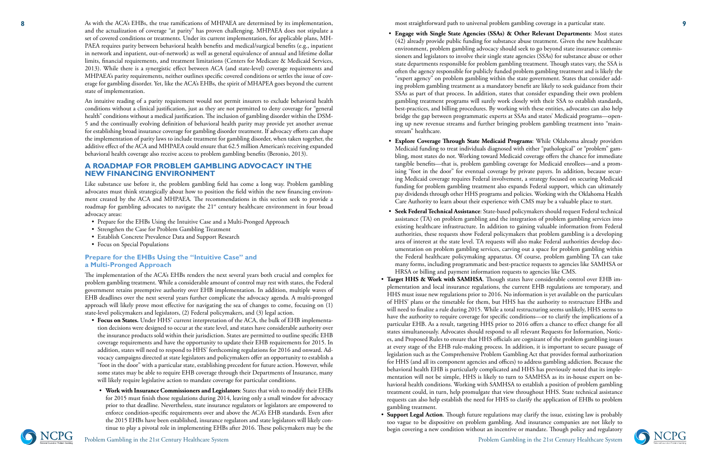**8**

Problem Gambling in the 21st Century Healthcare System



As with the ACA's EHBs, the true ramifications of MHPAEA are determined by its implementation, and the actualization of coverage "at parity" has proven challenging. MHPAEA does not stipulate a set of covered conditions or treatments. Under its current implementation, for applicable plans, MH - PAEA requires parity between behavioral health benefits and medical/surgical benefits (e.g., inpatient in network and inpatient, out-of-network) as well as general equivalence of annual and lifetime dollar limits, financial requirements, and treatment limitations (Centers for Medicare & Medicaid Services, 2013). While there is a synergistic effect between ACA (and state-level) coverage requirements and MHPAEA's parity requirements, neither outlines specific covered conditions or settles the issue of cov erage for gambling disorder. Yet, like the ACA's EHBs, the spirit of MHAPEA goes beyond the current state of implementation.

Like substance use before it, the problem gambling field has come a long way. Problem gambling advocates must think strategically about how to position the field within the new financing environ ment created by the ACA and MHPAEA. The recommendations in this section seek to provide a roadmap for gambling advocates to navigate the 21<sup>st</sup> century healthcare environment in four broad

An intuitive reading of a parity requirement would not permit insurers to exclude behavioral health conditions without a clinical justification, just as they are not permitted to deny coverage for "general health" conditions without a medical justification. The inclusion of gambling disorder within the DSM-5 and the continually evolving definition of behavioral health parity may provide yet another avenue for establishing broad insurance coverage for gambling disorder treatment. If advocacy efforts can shape the implementation of parity laws to include treatment for gambling disorder, when taken together, the additive effect of the ACA and MHPAEA could ensure that 62.5 million American's receiving expanded behavioral health coverage also receive access to problem gambling benefits (Beronio, 2013).

#### **A ROADMAP FOR PROBLEM GAMBLING ADVOCACY IN THE NEW FINANCING ENVIRONMENT**

- advocacy areas: Prepare for the EHBs Using the Intuitive Case and a Multi-Pronged Approach
- Strengthen the Case for Problem Gambling Treatment
- Establish Concrete Prevalence Data and Support Research
- Focus on Special Populations

#### **Prepare for the EHBs Using the "Intuitive Case" and a Multi-Pronged Approach**

The implementation of the ACA's EHBs renders the next several years both crucial and complex for problem gambling treatment. While a considerable amount of control may rest with states, the Federal government retains preemptive authority over EHB implementation. In addition, multiple waves of EHB deadlines over the next several years further complicate the advocacy agenda. A multi-pronged approach will likely prove most effective for navigating the sea of changes to come, focusing on (1)

- state-level policymakers and legislators, (2) Federal policymakers, and (3) legal action. **Focus on States.** Under HHS' current interpretation of the ACA, the bulk of EHB implementa tion decisions were designed to occur at the state level, and states have considerable authority over the insurance products sold within their jurisdiction. States are permitted to outline specific EHB coverage requirements and have the opportunity to update their EHB requirements for 2015. In addition, states will need to respond to HHS' forthcoming regulations for 2016 and onward. Ad vocacy campaigns directed at state legislators and policymakers offer an opportunity to establish a "foot in the door" with a particular state, establishing precedent for future action. However, while some states may be able to require EHB coverage through their Departments of Insurance, many
	- will likely require legislative action to mandate coverage for particular conditions. **Work with Insurance Commissioners and Legislators**: States that wish to modify their EHBs for 2015 must finish those regulations during 2014, leaving only a small window for advocacy prior to that deadline. Nevertheless, state insurance regulators or legislators are empowered to enforce condition-specific requirements over and above the ACA's EHB standards. Even after the 2015 EHBs have been established, insurance regulators and state legislators will likely con tinue to play a pivotal role in implementing EHBs after 2016. These policymakers may be the

most straightforward path to universal problem gambling coverage in a particular state.

- **Engage with Single State Agencies (SSAs) & Other Relevant Departments**: Most states (42) already provide public funding for substance abuse treatment. Given the new healthcare environment, problem gambling advocacy should seek to go beyond state insurance commis sioners and legislators to involve their single state agencies (SSAs) for substance abuse or other state departments responsible for problem gambling treatment. Though states vary, the SSA is often the agency responsible for publicly funded problem gambling treatment and is likely the "expert agency" on problem gambling within the state government. States that consider add ing problem gambling treatment as a mandatory benefit are likely to seek guidance from their SSAs as part of that process. In addition, states that consider expanding their own problem gambling treatment programs will surely work closely with their SSA to establish standards, best-practices, and billing procedures. By working with these entities, advocates can also help bridge the gap between programmatic experts at SSAs and states' Medicaid programs—open ing up new revenue streams and further bringing problem gambling treatment into "main stream" healthcare.
- **Explore Coverage Through State Medicaid Programs**: While Oklahoma already providers Medicaid funding to treat individuals diagnosed with either "pathological" or "problem" gam bling, most states do not. Working toward Medicaid coverage offers the chance for immediate tangible benefits—that is, problem gambling coverage for Medicaid enrollees—and a prom ising "foot in the door" for eventual coverage by private payers. In addition, because secur ing Medicaid coverage requires Federal involvement, a strategy focused on securing Medicaid funding for problem gambling treatment also expands Federal support, which can ultimately pay dividends through other HHS programs and policies. Working with the Oklahoma Health Care Authority to learn about their experience with CMS may be a valuable place to start.
- **Seek Federal Technical Assistance**: State-based policymakers should request Federal technical assistance (TA) on problem gambling and the integration of problem gambling services into existing healthcare infrastructure. In addition to gaining valuable information from Federal authorities, these requests show Federal policymakers that problem gambling is a developing area of interest at the state level. TA requests will also make Federal authorities develop doc umentation on problem gambling services, carving out a space for problem gambling within the Federal healthcare policymaking apparatus. Of course, problem gambling TA can take many forms, including programmatic and best-practice requests to agencies like SAMHSA or HRSA or billing and payment information requests to agencies like CMS.
- Target HHS & Work with SAMHSA. Though states have considerable control over EHB implementation and local insurance regulations, the current EHB regulations are temporary, and HHS must issue new regulations prior to 2016. No information is yet available on the particulars of HHS' plans or the timetable for them, but HHS has the authority to restructure EHBs and will need to finalize a rule during 2015. While a total restructuring seems unlikely, HHS seems to have the authority to require coverage for specific conditions—or to clarify the implications of a particular EHB. As a result, targeting HHS prior to 2016 offers a chance to effect change for all states simultaneously. Advocates should respond to all relevant Requests for Information, Notic es, and Proposed Rules to ensure that HHS officials are cognizant of the problem gambling issues at every stage of the EHB rule-making process. In addition, it is important to secure passage of legislation such as the Comprehensive Problem Gambling Act that provides formal authorization for HHS (and all its component agencies and offices) to address gambling addiction. Because the behavioral health EHB is particularly complicated and HHS has previously noted that its imple mentation will not be simple, HHS is likely to turn to SAMHSA as its in-house expert on be havioral health conditions. Working with SAMHSA to establish a position of problem gambling treatment could, in turn, help promulgate that view throughout HHS. State technical assistance requests can also help establish the need for HHS to clarify the application of EHBs to problem gambling treatment.
- **Support Legal Action**. Though future regulations may clarify the issue, existing law is probably too vague to be dispositive on problem gambling. And insurance companies are not likely to begin covering a new condition without an incentive or mandate. Though policy and regulatory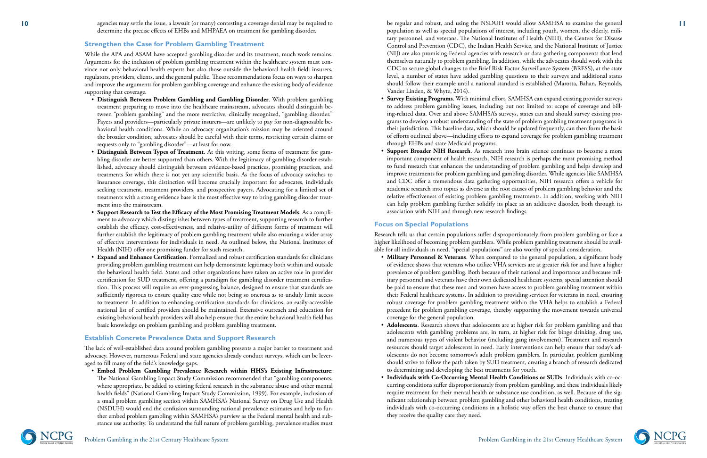agencies may settle the issue, a lawsuit (or many) contesting a coverage denial may be required to determine the precise effects of EHBs and MHPAEA on treatment for gambling disorder.

#### **Strengthen the Case for Problem Gambling Treatment**

While the APA and ASAM have accepted gambling disorder and its treatment, much work remains. Arguments for the inclusion of problem gambling treatment within the healthcare system must con vince not only behavioral health experts but also those outside the behavioral health field: insurers, regulators, providers, clients, and the general public. These recommendations focus on ways to sharpen and improve the arguments for problem gambling coverage and enhance the existing body of evidence supporting that coverage.

- **Distinguish Between Problem Gambling and Gambling Disorder**. With problem gambling treatment preparing to move into the healthcare mainstream, advocates should distinguish be tween "problem gambling" and the more restrictive, clinically recognized, "gambling disorder." Payers and providers—particularly private insurers—are unlikely to pay for non-diagnosable be havioral health conditions. While an advocacy organization's mission may be oriented around the broader condition, advocates should be careful with their terms, restricting certain claims or requests only to "gambling disorder"—at least for now.
- **Distinguish Between Types of Treatment**. At this writing, some forms of treatment for gam bling disorder are better supported than others. With the legitimacy of gambling disorder estab lished, advocacy should distinguish between evidence-based practices, promising practices, and treatments for which there is not yet any scientific basis. As the focus of advocacy switches to insurance coverage, this distinction will become crucially important for advocates, individuals seeking treatment, treatment providers, and prospective payers. Advocating for a limited set of treatments with a strong evidence base is the most effective way to bring gambling disorder treat ment into the mainstream.
- **Support Research to Test the Efficacy of the Most Promising Treatment Models**. As a compli ment to advocacy which distinguishes between types of treatment, supporting research to further establish the efficacy, cost-effectiveness, and relative-utility of different forms of treatment will further establish the legitimacy of problem gambling treatment while also ensuring a wider array of effective interventions for individuals in need. As outlined below, the National Institutes of Health (NIH) offer one promising funder for such research.
- **Expand and Enhance Certification**. Formalized and robust certification standards for clinicians providing problem gambling treatment can help demonstrate legitimacy both within and outside the behavioral health field. States and other organizations have taken an active role in provider certification for SUD treatment, offering a paradigm for gambling disorder treatment certifica tion. This process will require an ever-progressing balance, designed to ensure that standards are sufficiently rigorous to ensure quality care while not being so onerous as to unduly limit access to treatment. In addition to enhancing certification standards for clinicians, an easily-accessible national list of certified providers should be maintained. Extensive outreach and education for existing behavioral health providers will also help ensure that the entire behavioral health field has basic knowledge on problem gambling and problem gambling treatment.

**10 11** be regular and robust, and using the NSDUH would allow SAMHSA to examine the general population as well as special populations of interest, including youth, women, the elderly, mili tary personnel, and veterans. The National Institutes of Health (NIH), the Centers for Disease Control and Prevention (CDC), the Indian Health Service, and the National Institute of Justice (NIJ) are also promising Federal agencies with research or data gathering components that lend themselves naturally to problem gambling. In addition, while the advocates should work with the CDC to secure global changes to the Brief Risk Factor Surveillance System (BRFSS), at the state level, a number of states have added gambling questions to their surveys and additional states should follow their example until a national standard is established (Marotta, Bahan, Reynolds, Vander Linden, & Whyte, 2014).

#### **Establish Concrete Prevalence Data and Support Research**

The lack of well-established data around problem gambling presents a major barrier to treatment and advocacy. However, numerous Federal and state agencies already conduct surveys, which can be lever aged to fill many of the field's knowledge gaps. • **Embed Problem Gambling Prevalence Research within HHS's Existing Infrastructure**:

The National Gambling Impact Study Commission recommended that "gambling components, where appropriate, be added to existing federal research in the substance abuse and other mental health fields" (National Gambling Impact Study Commission, 1999). For example, inclusion of a small problem gambling section within SAMHSA's National Survey on Drug Use and Health (NSDUH) would end the confusion surrounding national prevalence estimates and help to fur ther embed problem gambling within SAMHSA's purview as the Federal mental health and sub stance use authority. To understand the full nature of problem gambling, prevalence studies must

- **Survey Existing Programs**. With minimal effort, SAMHSA can expand existing provider surveys to address problem gambling issues, including but not limited to: scope of coverage and bill ing-related data. Over and above SAMHSA's surveys, states can and should survey existing pro grams to develop a robust understanding of the state of problem gambling treatment programs in their jurisdiction. This baseline data, which should be updated frequently, can then form the basis of efforts outlined above—including efforts to expand coverage for problem gambling treatment through EHBs and state Medicaid programs.
- **Support Broader NIH Research**. As research into brain science continues to become a more important component of health research, NIH research is perhaps the most promising method to fund research that enhances the understanding of problem gambling and helps develop and improve treatments for problem gambling and gambling disorder. While agencies like SAMHSA and CDC offer a tremendous data gathering opportunities, NIH research offers a vehicle for academic research into topics as diverse as the root causes of problem gambling behavior and the relative effectiveness of existing problem gambling treatments. In addition, working with NIH can help problem gambling further solidify its place as an addictive disorder, both through its association with NIH and through new research findings.

# **Focus on Special Populations**

Research tells us that certain populations suffer disproportionately from problem gambling or face a higher likelihood of becoming problem gamblers. While problem gambling treatment should be avail able for all individuals in need, "special populations" are also worthy of special consideration. • **Military Personnel & Veterans**. When compared to the general population, a significant body

- of evidence shows that veterans who utilize VHA services are at greater risk for and have a higher prevalence of problem gambling. Both because of their national and importance and because mil itary personnel and veterans have their own dedicated healthcare systems, special attention should be paid to ensure that these men and women have access to problem gambling treatment within their Federal healthcare systems. In addition to providing services for veterans in need, ensuring robust coverage for problem gambling treatment within the VHA helps to establish a Federal precedent for problem gambling coverage, thereby supporting the movement towards universal coverage for the general population.
- **Adolescents**. Research shows that adolescents are at higher risk for problem gambling and that adolescents with gambling problems are, in turn, at higher risk for binge drinking, drug use, and numerous types of violent behavior (including gang involvement). Treatment and research resources should target adolescents in need. Early interventions can help ensure that today's ad olescents do not become tomorrow's adult problem gamblers. In particular, problem gambling should strive to follow the path taken by SUD treatment, creating a branch of research dedicated to determining and developing the best treatments for youth.
- **Individuals with Co-Occurring Mental Health Conditions or SUDs**. Individuals with co-oc curring conditions suffer disproportionately from problem gambling, and these individuals likely require treatment for their mental health or substance use condition, as well. Because of the sig nificant relationship between problem gambling and other behavioral health conditions, treating individuals with co-occurring conditions in a holistic way offers the best chance to ensure that they receive the quality care they need.

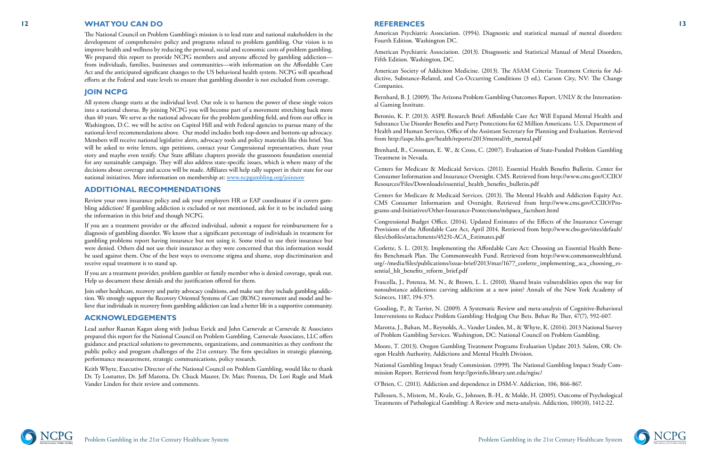

#### **12 13 WHAT YOU CAN DO**

The National Council on Problem Gambling's mission is to lead state and national stakeholders in the development of comprehensive policy and programs related to problem gambling. Our vision is to improve health and wellness by reducing the personal, social and economic costs of problem gambling. We prepared this report to provide NCPG members and anyone affected by gambling addiction from individuals, families, businesses and communities—with information on the Affordable Care Act and the anticipated significant changes to the US behavioral health system. NCPG will spearhead efforts at the Federal and state levels to ensure that gambling disorder is not excluded from coverage.

#### **JOIN NCPG**

All system change starts at the individual level. Our role is to harness the power of these single voices into a national chorus. By joining NCPG you will become part of a movement stretching back more than 40 years. We serve as the national advocate for the problem gambling field, and from our office in Washington, D.C. we will be active on Capitol Hill and with Federal agencies to pursue many of the national-level recommendations above. Our model includes both top-down and bottom-up advocacy. Members will receive national legislative alerts, advocacy tools and policy materials like this brief. You will be asked to write letters, sign petitions, contact your Congressional representatives, share your story and maybe even testify. Our State affiliate chapters provide the grassroots foundation essential for any sustainable campaign. They will also address state-specific issues, which is where many of the decisions about coverage and access will be made. Affiliates will help rally support in their state for our national initiatives. More information on membership at: [www.ncpgambling.org/joinnow](http://www.ncpgambling.org/joinnow)

#### **ADDITIONAL RECOMMENDATIONS**

Review your own insurance policy and ask your employers HR or EAP coordinator if it covers gam bling addiction? If gambling addiction is excluded or not mentioned, ask for it to be included using the information in this brief and though NCPG.

If you are a treatment provider or the affected individual, submit a request for reimbursement for a diagnosis of gambling disorder. We know that a significant percentage of individuals in treatment for gambling problems report having insurance but not using it. Some tried to use their insurance but were denied. Others did not use their insurance as they were concerned that this information would be used against them. One of the best ways to overcome stigma and shame, stop discrimination and receive equal treatment is to stand up.

If you are a treatment provider, problem gambler or family member who is denied coverage, speak out. Help us document these denials and the justification offered for them.

Corlette, S. L. (2013). Implementing the Affordable Care Act: Choosing an Essential Health Bene fits Benchmark Plan. The Commonwealth Fund. Retrieved from http://www.commonwealthfund. org/~/media/files/publications/issue-brief/2013/mar/1677\_corlette\_implementing\_aca\_choosing\_es sential hlt benefits reform brief.pdf

Join other healthcare, recovery and parity advocacy coalitions, and make sure they include gambling addic tion. We strongly support the Recovery Oriented Systems of Care (ROSC) movement and model and be lieve that individuals in recovery from gambling addiction can lead a better life in a supportive community.

#### **ACKNOWLEDGEMENTS**

Lead author Raanan Kagan along with Joshua Esrick and John Carnevale at Carnevale & Associates prepared this report for the National Council on Problem Gambling. Carnevale Associates, LLC offers guidance and practical solutions to governments, organizations, and communities as they confront the public policy and program challenges of the 21st century. The firm specializes in strategic planning, performance measurement, strategic communications, policy research.

Keith Whyte, Executive Director of the National Council on Problem Gambling, would like to thank Dr. Ty Lostutter, Dr. Jeff Marotta, Dr. Chuck Maurer, Dr. Marc Potenza, Dr. Lori Rugle and Mark Vander Linden for their review and comments.

#### **REFERENCES**

American Psychiatric Association. (1994). Diagnostic and statistical manual of mental disorders: Fourth Edition. Washington DC.

American Psychiatric Association. (2013). Disagnostic and Statistical Manual of Metal Disorders, Fifth Edition. Washington, DC.

American Society of Addiciton Medicine. (2013). The ASAM Criteria: Treatment Criteria for Ad dictive, Substance-Related, and Co-Occurring Conditions (3 ed.). Carson City, NV: The Change Companies.

Bernhard, B. J. (2009). The Arizona Problem Gambling Outcomes Report. UNLV & the Internation al Gaming Institute.

Beronio, K. P. (2013). ASPE Research Brief: Affordable Care Act Will Expand Mental Health and Substance Use Disorder Benefits and Party Protections for 62 Million Americans. U.S. Department of Health and Human Services, Office of the Assistant Secretary for Planning and Evaluation. Retrieved from http://aspe.hhs.gov/health/reports/2013/mental/rb\_mental.pdf

Brenhard, B., Crossman, E. W., & Cross, C. (2007). Evaluation of State-Funded Problem Gambling Treatment in Nevada.

Centers for Medicare & Medicaid Services. (2011). Essential Health Benefits Bulletin. Center for Consumer Information and Insurance Oversight. CMS. Retrieved from http://www.cms.gov/CCIIO/ Resources/Files/Downloads/essential\_health\_benefits\_bulletin.pdf

Centers for Medicare & Medicaid Services. (2013). The Mental Health and Addiction Equity Act. CMS Consumer Information and Oversight. Retrieved from http://www.cms.gov/CCIIO/Pro grams-and-Initiatives/Other-Insurance-Protections/mhpaea\_factsheet.html

Congressional Budget Office. (2014). Updated Estimates of the Effects of the Inusrance Coverage Provisions of the Affordable Care Act, April 2014. Retrieved from http://www.cbo.gov/sites/default/ files/cbofiles/attachments/45231-ACA\_Estimates.pdf

Frascella, J., Potenza, M. N., & Brown, L. L. (2010). Shared brain vulnerabilities open the way for nonsubstance addictions: carving addiction at a new joint? Annals of the New York Academy of Scineces, 1187, 194-375.

Gooding, P., & Tarrier, N. (2009). A Systematic Review and meta-analysis of Cognitive-Behavioral Interventions to Reduce Problem Gambling: Hedging Our Bets. Behav Re Ther, 47(7), 592-607.

Marotta, J., Bahan, M., Reynolds, A., Vander Linden, M., & Whyte, K. (2014). 2013 National Survey of Problem Gambling Services. Washington, DC: National Council on Problem Gambling.

Moore, T. (2013). Oregon Gambling Treatment Programs Evaluation Update 2013. Salem, OR: Oregon Health Authority, Addictions and Mental Health Division.

National Gambling Impact Study Commission. (1999). The National Gambling Impact Study Com mission Report. Retrieved from http://govinfo.library.unt.edu/ngisc/

O'Brien, C. (2011). Addiction and dependence in DSM-V. Addiction, 106, 866-867.

Pallessen, S., Mistem, M., Kvale, G., Johnsen, B.-H., & Molde, H. (2005). Outcome of Psychological Treatments of Pathological Gambling: A Review and meta-analysis. Addiction, 100(10), 1412-22.

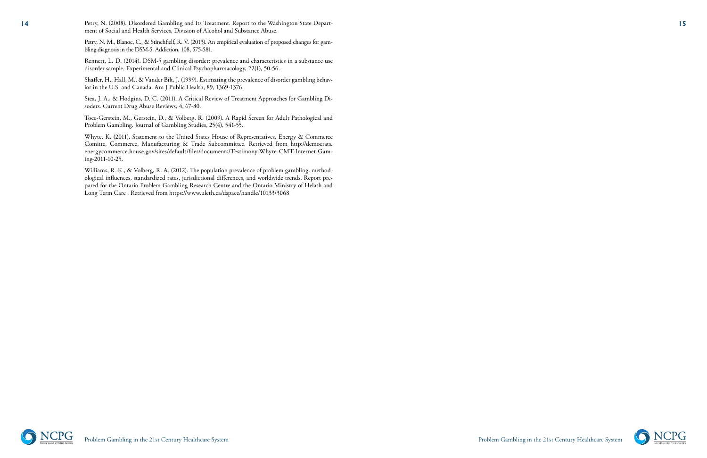

**14 14** Petry, N. (2008). Disordered Gambling and Its Treatment. Report to the Washington State Department of Social and Health Services, Division of Alcohol and Substance Abuse.

Petry, N. M., Blanoc, C., & Stinchfielf, R. V. (2013). An empirical evaluation of proposed changes for gam bling diagnosis in the DSM-5. Addiction, 108, 575-581.

Rennert, L. D. (2014). DSM-5 gambling disorder: prevalence and characteristics in a substance use disorder sample. Experimental and Clinical Psychopharmacology, 22(1), 50-56.

Shaffer, H., Hall, M., & Vander Bilt, J. (1999). Estimating the prevalence of disorder gambling behavior in the U.S. and Canada. Am J Public Health, 89, 1369-1376.

Stea, J. A., & Hodgins, D. C. (2011). A Critical Review of Treatment Approaches for Gambling Di soders. Current Drug Abuse Reviews, 4, 67-80.

Toce-Gerstein, M., Gerstein, D., & Volberg, R. (2009). A Rapid Screen for Adult Pathological and Problem Gambling. Journal of Gambling Studies, 25(4), 541-55.

Whyte, K. (2011). Statement to the United States House of Representatives, Energy & Commerce Comitte, Commerce, Manufacturing & Trade Subcommittee. Retrieved from http://democrats. energycommerce.house.gov/sites/default/files/documents/Testimony-Whyte-CMT-Internet-Gam ing-2011-10-25.

Williams, R. K., & Volberg, R. A. (2012). The population prevalence of problem gambling: method ological influences, standardized rates, jurisdictional differences, and worldwide trends. Report pre pared for the Ontario Problem Gambling Research Centre and the Ontario Ministry of Helath and Long Term Care . Retrieved from https://www.uleth.ca/dspace/handle/10133/3068